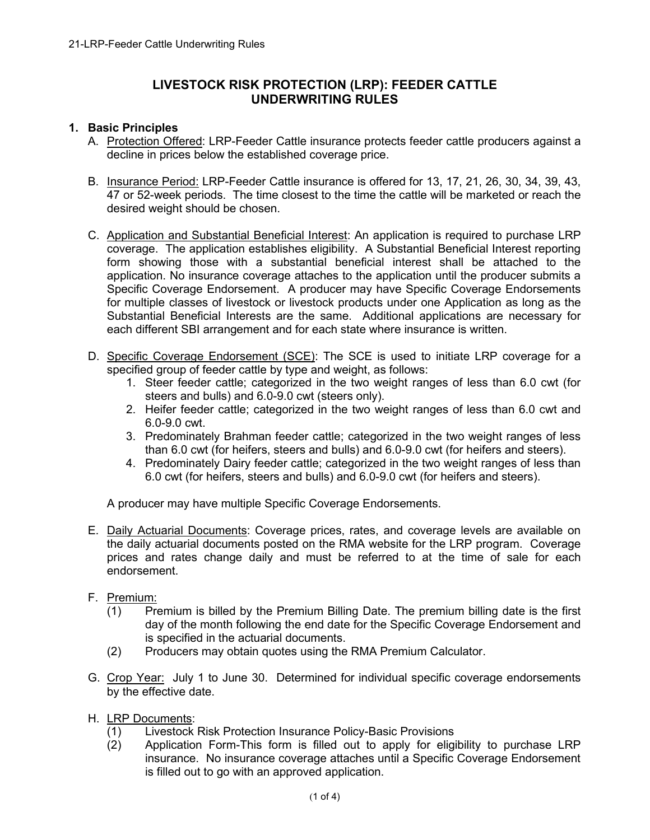# **LIVESTOCK RISK PROTECTION (LRP): FEEDER CATTLE UNDERWRITING RULES**

#### **1. Basic Principles**

- A. Protection Offered: LRP-Feeder Cattle insurance protects feeder cattle producers against a decline in prices below the established coverage price.
- B. Insurance Period: LRP-Feeder Cattle insurance is offered for 13, 17, 21, 26, 30, 34, 39, 43, 47 or 52-week periods. The time closest to the time the cattle will be marketed or reach the desired weight should be chosen.
- C. Application and Substantial Beneficial Interest: An application is required to purchase LRP coverage. The application establishes eligibility. A Substantial Beneficial Interest reporting form showing those with a substantial beneficial interest shall be attached to the application. No insurance coverage attaches to the application until the producer submits a Specific Coverage Endorsement. A producer may have Specific Coverage Endorsements for multiple classes of livestock or livestock products under one Application as long as the Substantial Beneficial Interests are the same. Additional applications are necessary for each different SBI arrangement and for each state where insurance is written.
- D. Specific Coverage Endorsement (SCE): The SCE is used to initiate LRP coverage for a specified group of feeder cattle by type and weight, as follows:
	- 1. Steer feeder cattle; categorized in the two weight ranges of less than 6.0 cwt (for steers and bulls) and 6.0-9.0 cwt (steers only).
	- 2. Heifer feeder cattle; categorized in the two weight ranges of less than 6.0 cwt and 6.0-9.0 cwt.
	- 3. Predominately Brahman feeder cattle; categorized in the two weight ranges of less than 6.0 cwt (for heifers, steers and bulls) and 6.0-9.0 cwt (for heifers and steers).
	- 4. Predominately Dairy feeder cattle; categorized in the two weight ranges of less than 6.0 cwt (for heifers, steers and bulls) and 6.0-9.0 cwt (for heifers and steers).

A producer may have multiple Specific Coverage Endorsements.

- E. Daily Actuarial Documents: Coverage prices, rates, and coverage levels are available on the daily actuarial documents posted on the RMA website for the LRP program. Coverage prices and rates change daily and must be referred to at the time of sale for each endorsement.
- F. Premium:
	- (1) Premium is billed by the Premium Billing Date. The premium billing date is the first day of the month following the end date for the Specific Coverage Endorsement and is specified in the actuarial documents.
	- (2) Producers may obtain quotes using the RMA Premium Calculator.
- G. Crop Year: July 1 to June 30. Determined for individual specific coverage endorsements by the effective date.
- H. LRP Documents:
	- (1) Livestock Risk Protection Insurance Policy-Basic Provisions
	- (2) Application Form-This form is filled out to apply for eligibility to purchase LRP insurance. No insurance coverage attaches until a Specific Coverage Endorsement is filled out to go with an approved application.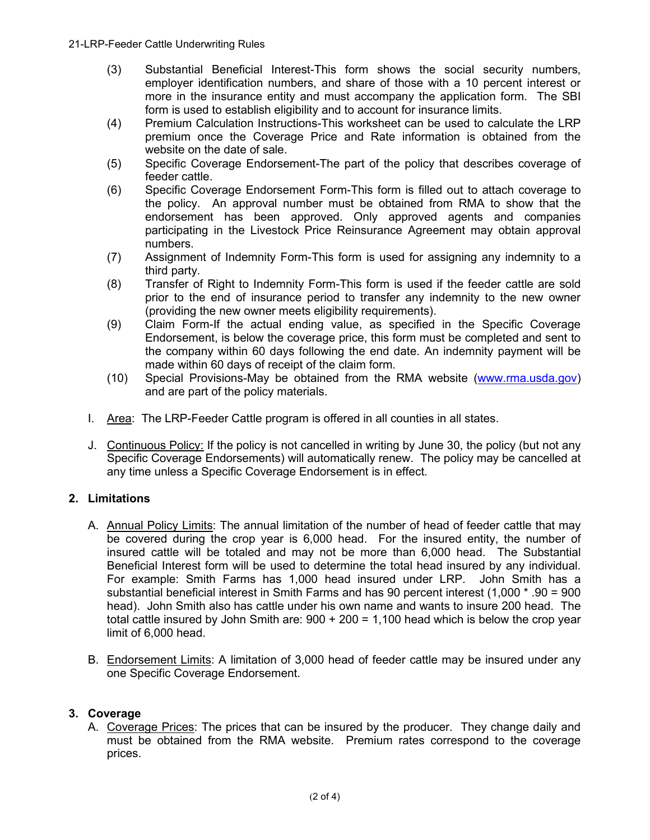- (3) Substantial Beneficial Interest-This form shows the social security numbers, employer identification numbers, and share of those with a 10 percent interest or more in the insurance entity and must accompany the application form. The SBI form is used to establish eligibility and to account for insurance limits.
- (4) Premium Calculation Instructions-This worksheet can be used to calculate the LRP premium once the Coverage Price and Rate information is obtained from the website on the date of sale.
- (5) Specific Coverage Endorsement-The part of the policy that describes coverage of feeder cattle.
- (6) Specific Coverage Endorsement Form-This form is filled out to attach coverage to the policy. An approval number must be obtained from RMA to show that the endorsement has been approved. Only approved agents and companies participating in the Livestock Price Reinsurance Agreement may obtain approval numbers.
- (7) Assignment of Indemnity Form-This form is used for assigning any indemnity to a third party.
- (8) Transfer of Right to Indemnity Form-This form is used if the feeder cattle are sold prior to the end of insurance period to transfer any indemnity to the new owner (providing the new owner meets eligibility requirements).
- (9) Claim Form-If the actual ending value, as specified in the Specific Coverage Endorsement, is below the coverage price, this form must be completed and sent to the company within 60 days following the end date. An indemnity payment will be made within 60 days of receipt of the claim form.
- (10) Special Provisions-May be obtained from the RMA website [\(www.rma.usda.gov\)](https://www.rma.usda.gov/) and are part of the policy materials.
- I. Area: The LRP-Feeder Cattle program is offered in all counties in all states.
- J. Continuous Policy: If the policy is not cancelled in writing by June 30, the policy (but not any Specific Coverage Endorsements) will automatically renew. The policy may be cancelled at any time unless a Specific Coverage Endorsement is in effect.

## **2. Limitations**

- A. Annual Policy Limits: The annual limitation of the number of head of feeder cattle that may be covered during the crop year is 6,000 head. For the insured entity, the number of insured cattle will be totaled and may not be more than 6,000 head. The Substantial Beneficial Interest form will be used to determine the total head insured by any individual. For example: Smith Farms has 1,000 head insured under LRP. John Smith has a substantial beneficial interest in Smith Farms and has 90 percent interest (1,000 \* .90 = 900 head). John Smith also has cattle under his own name and wants to insure 200 head. The total cattle insured by John Smith are:  $900 + 200 = 1,100$  head which is below the crop year limit of 6,000 head.
- B. Endorsement Limits: A limitation of 3,000 head of feeder cattle may be insured under any one Specific Coverage Endorsement.

## **3. Coverage**

A. Coverage Prices: The prices that can be insured by the producer. They change daily and must be obtained from the RMA website. Premium rates correspond to the coverage prices.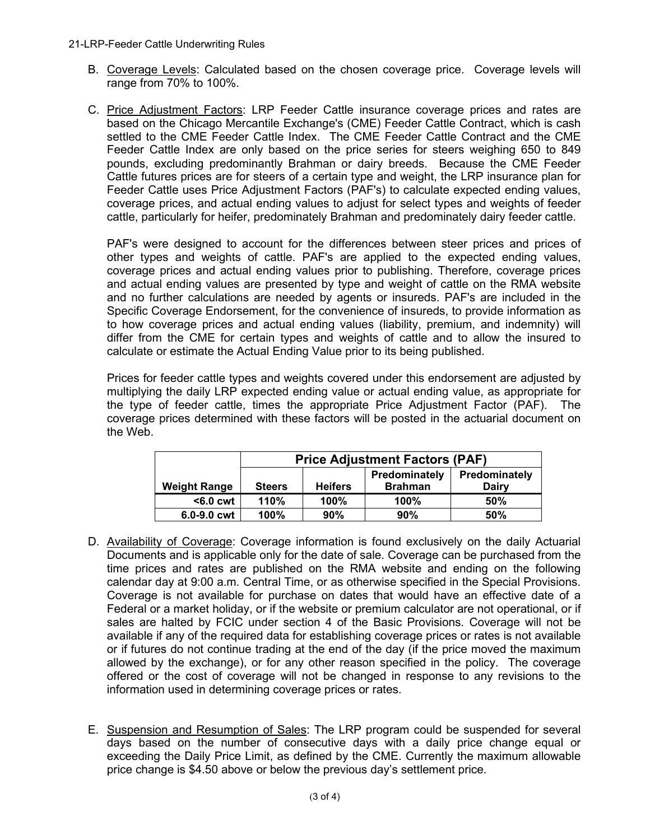- B. Coverage Levels: Calculated based on the chosen coverage price. Coverage levels will range from 70% to 100%.
- C. Price Adjustment Factors: LRP Feeder Cattle insurance coverage prices and rates are based on the Chicago Mercantile Exchange's (CME) Feeder Cattle Contract, which is cash settled to the CME Feeder Cattle Index. The CME Feeder Cattle Contract and the CME Feeder Cattle Index are only based on the price series for steers weighing 650 to 849 pounds, excluding predominantly Brahman or dairy breeds. Because the CME Feeder Cattle futures prices are for steers of a certain type and weight, the LRP insurance plan for Feeder Cattle uses Price Adjustment Factors (PAF's) to calculate expected ending values, coverage prices, and actual ending values to adjust for select types and weights of feeder cattle, particularly for heifer, predominately Brahman and predominately dairy feeder cattle.

PAF's were designed to account for the differences between steer prices and prices of other types and weights of cattle. PAF's are applied to the expected ending values, coverage prices and actual ending values prior to publishing. Therefore, coverage prices and actual ending values are presented by type and weight of cattle on the RMA website and no further calculations are needed by agents or insureds. PAF's are included in the Specific Coverage Endorsement, for the convenience of insureds, to provide information as to how coverage prices and actual ending values (liability, premium, and indemnity) will differ from the CME for certain types and weights of cattle and to allow the insured to calculate or estimate the Actual Ending Value prior to its being published.

Prices for feeder cattle types and weights covered under this endorsement are adjusted by multiplying the daily LRP expected ending value or actual ending value, as appropriate for the type of feeder cattle, times the appropriate Price Adjustment Factor (PAF). The coverage prices determined with these factors will be posted in the actuarial document on the Web.

|                     | <b>Price Adjustment Factors (PAF)</b> |                |                                 |                        |
|---------------------|---------------------------------------|----------------|---------------------------------|------------------------|
| <b>Weight Range</b> | <b>Steers</b>                         | <b>Heifers</b> | Predominately<br><b>Brahman</b> | Predominately<br>Dairv |
| $<$ 6.0 cwt         | 110%                                  | 100%           | 100%                            | 50%                    |
| $6.0 - 9.0$ cwt     | 100%                                  | 90%            | 90%                             | 50%                    |

- D. Availability of Coverage: Coverage information is found exclusively on the daily Actuarial Documents and is applicable only for the date of sale. Coverage can be purchased from the time prices and rates are published on the RMA website and ending on the following calendar day at 9:00 a.m. Central Time, or as otherwise specified in the Special Provisions. Coverage is not available for purchase on dates that would have an effective date of a Federal or a market holiday, or if the website or premium calculator are not operational, or if sales are halted by FCIC under section 4 of the Basic Provisions. Coverage will not be available if any of the required data for establishing coverage prices or rates is not available or if futures do not continue trading at the end of the day (if the price moved the maximum allowed by the exchange), or for any other reason specified in the policy. The coverage offered or the cost of coverage will not be changed in response to any revisions to the information used in determining coverage prices or rates.
- E. Suspension and Resumption of Sales: The LRP program could be suspended for several days based on the number of consecutive days with a daily price change equal or exceeding the Daily Price Limit, as defined by the CME. Currently the maximum allowable price change is \$4.50 above or below the previous day's settlement price.